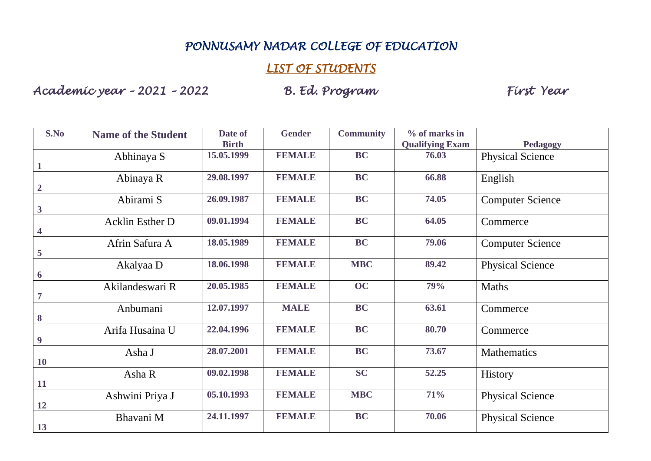## *PONNUSAMY NADAR COLLEGE OF EDUCATION*

## *LIST OF STUDENTS*

*Academic year – 2021 – 2022 B. Ed. Program First Year* 

| S.No                    | <b>Name of the Student</b> | Date of<br><b>Birth</b> | <b>Gender</b> | <b>Community</b> | % of marks in<br><b>Qualifying Exam</b> | Pedagogy                |
|-------------------------|----------------------------|-------------------------|---------------|------------------|-----------------------------------------|-------------------------|
| $\mathbf{1}$            | Abhinaya S                 | 15.05.1999              | <b>FEMALE</b> | <b>BC</b>        | 76.03                                   | <b>Physical Science</b> |
| $\overline{2}$          | Abinaya R                  | 29.08.1997              | <b>FEMALE</b> | <b>BC</b>        | 66.88                                   | English                 |
| $\mathbf{3}$            | Abirami S                  | 26.09.1987              | <b>FEMALE</b> | <b>BC</b>        | 74.05                                   | <b>Computer Science</b> |
| $\overline{\mathbf{4}}$ | <b>Acklin Esther D</b>     | 09.01.1994              | <b>FEMALE</b> | <b>BC</b>        | 64.05                                   | Commerce                |
| 5                       | Afrin Safura A             | 18.05.1989              | <b>FEMALE</b> | <b>BC</b>        | 79.06                                   | <b>Computer Science</b> |
| 6                       | Akalyaa D                  | 18.06.1998              | <b>FEMALE</b> | <b>MBC</b>       | 89.42                                   | <b>Physical Science</b> |
| $\overline{7}$          | Akilandeswari R            | 20.05.1985              | <b>FEMALE</b> | OC               | 79%                                     | <b>Maths</b>            |
| $\boldsymbol{8}$        | Anbumani                   | 12.07.1997              | <b>MALE</b>   | <b>BC</b>        | 63.61                                   | Commerce                |
| $\boldsymbol{9}$        | Arifa Husaina U            | 22.04.1996              | <b>FEMALE</b> | <b>BC</b>        | 80.70                                   | Commerce                |
| <b>10</b>               | Asha J                     | 28.07.2001              | <b>FEMALE</b> | <b>BC</b>        | 73.67                                   | <b>Mathematics</b>      |
| <b>11</b>               | Asha R                     | 09.02.1998              | <b>FEMALE</b> | <b>SC</b>        | 52.25                                   | <b>History</b>          |
| <b>12</b>               | Ashwini Priya J            | 05.10.1993              | <b>FEMALE</b> | <b>MBC</b>       | 71%                                     | <b>Physical Science</b> |
| 13                      | Bhavani M                  | 24.11.1997              | <b>FEMALE</b> | <b>BC</b>        | 70.06                                   | <b>Physical Science</b> |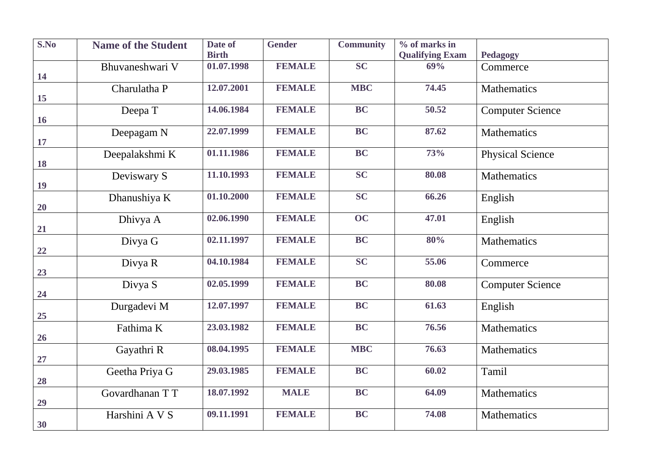| S.No      | <b>Name of the Student</b> | Date of      | <b>Gender</b> | <b>Community</b> | $%$ of marks in        |                         |
|-----------|----------------------------|--------------|---------------|------------------|------------------------|-------------------------|
|           |                            | <b>Birth</b> |               |                  | <b>Qualifying Exam</b> | <b>Pedagogy</b>         |
| 14        | Bhuvaneshwari V            | 01.07.1998   | <b>FEMALE</b> | <b>SC</b>        | 69%                    | Commerce                |
|           | Charulatha P               | 12.07.2001   | <b>FEMALE</b> | <b>MBC</b>       | 74.45                  | <b>Mathematics</b>      |
| 15        |                            |              |               |                  |                        |                         |
| <b>16</b> | Deepa T                    | 14.06.1984   | <b>FEMALE</b> | BC               | 50.52                  | <b>Computer Science</b> |
| 17        | Deepagam N                 | 22.07.1999   | <b>FEMALE</b> | <b>BC</b>        | 87.62                  | Mathematics             |
| 18        | Deepalakshmi K             | 01.11.1986   | <b>FEMALE</b> | <b>BC</b>        | 73%                    | <b>Physical Science</b> |
| 19        | Deviswary S                | 11.10.1993   | <b>FEMALE</b> | <b>SC</b>        | 80.08                  | Mathematics             |
| 20        | Dhanushiya K               | 01.10.2000   | <b>FEMALE</b> | <b>SC</b>        | 66.26                  | English                 |
| 21        | Dhivya A                   | 02.06.1990   | <b>FEMALE</b> | OC               | 47.01                  | English                 |
| 22        | Divya G                    | 02.11.1997   | <b>FEMALE</b> | <b>BC</b>        | 80%                    | <b>Mathematics</b>      |
| 23        | Divya R                    | 04.10.1984   | <b>FEMALE</b> | SC               | 55.06                  | Commerce                |
| 24        | Divya S                    | 02.05.1999   | <b>FEMALE</b> | <b>BC</b>        | 80.08                  | <b>Computer Science</b> |
| 25        | Durgadevi M                | 12.07.1997   | <b>FEMALE</b> | BC               | 61.63                  | English                 |
| 26        | Fathima K                  | 23.03.1982   | <b>FEMALE</b> | <b>BC</b>        | 76.56                  | <b>Mathematics</b>      |
| 27        | Gayathri R                 | 08.04.1995   | <b>FEMALE</b> | <b>MBC</b>       | 76.63                  | <b>Mathematics</b>      |
| 28        | Geetha Priya G             | 29.03.1985   | <b>FEMALE</b> | <b>BC</b>        | 60.02                  | Tamil                   |
| 29        | Govardhanan TT             | 18.07.1992   | <b>MALE</b>   | <b>BC</b>        | 64.09                  | <b>Mathematics</b>      |
| 30        | Harshini A V S             | 09.11.1991   | <b>FEMALE</b> | <b>BC</b>        | 74.08                  | Mathematics             |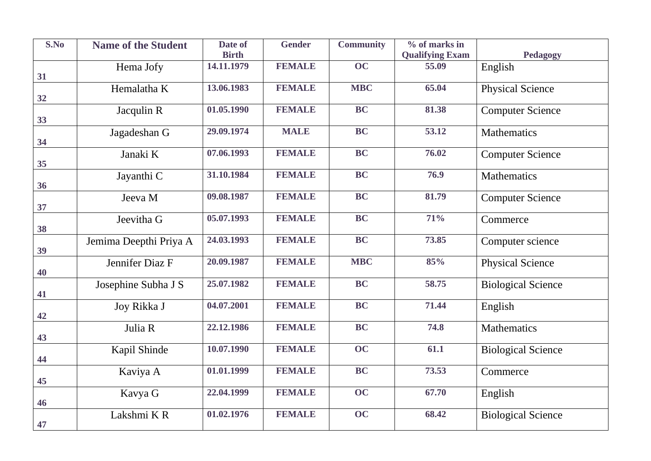| S.No | <b>Name of the Student</b> | Date of      | <b>Gender</b> | <b>Community</b> | % of marks in          |                           |
|------|----------------------------|--------------|---------------|------------------|------------------------|---------------------------|
|      |                            | <b>Birth</b> |               | OC               | <b>Qualifying Exam</b> | <b>Pedagogy</b>           |
| 31   | Hema Jofy                  | 14.11.1979   | <b>FEMALE</b> |                  | 55.09                  | English                   |
|      | Hemalatha K                | 13.06.1983   | <b>FEMALE</b> | <b>MBC</b>       | 65.04                  | <b>Physical Science</b>   |
| 32   |                            |              |               |                  |                        |                           |
| 33   | Jacqulin R                 | 01.05.1990   | <b>FEMALE</b> | <b>BC</b>        | 81.38                  | <b>Computer Science</b>   |
| 34   | Jagadeshan G               | 29.09.1974   | <b>MALE</b>   | BC               | 53.12                  | <b>Mathematics</b>        |
| 35   | Janaki K                   | 07.06.1993   | <b>FEMALE</b> | <b>BC</b>        | 76.02                  | <b>Computer Science</b>   |
| 36   | Jayanthi C                 | 31.10.1984   | <b>FEMALE</b> | <b>BC</b>        | 76.9                   | Mathematics               |
| 37   | Jeeva M                    | 09.08.1987   | <b>FEMALE</b> | <b>BC</b>        | 81.79                  | <b>Computer Science</b>   |
| 38   | Jeevitha G                 | 05.07.1993   | <b>FEMALE</b> | <b>BC</b>        | 71%                    | Commerce                  |
| 39   | Jemima Deepthi Priya A     | 24.03.1993   | <b>FEMALE</b> | <b>BC</b>        | 73.85                  | Computer science          |
| 40   | Jennifer Diaz F            | 20.09.1987   | <b>FEMALE</b> | <b>MBC</b>       | 85%                    | <b>Physical Science</b>   |
| 41   | Josephine Subha J S        | 25.07.1982   | <b>FEMALE</b> | BC               | 58.75                  | <b>Biological Science</b> |
| 42   | Joy Rikka J                | 04.07.2001   | <b>FEMALE</b> | BC               | 71.44                  | English                   |
| 43   | Julia R                    | 22.12.1986   | <b>FEMALE</b> | <b>BC</b>        | 74.8                   | <b>Mathematics</b>        |
| 44   | Kapil Shinde               | 10.07.1990   | <b>FEMALE</b> | OC               | 61.1                   | <b>Biological Science</b> |
| 45   | Kaviya A                   | 01.01.1999   | <b>FEMALE</b> | <b>BC</b>        | 73.53                  | Commerce                  |
| 46   | Kavya G                    | 22.04.1999   | <b>FEMALE</b> | OC               | 67.70                  | English                   |
| 47   | Lakshmi KR                 | 01.02.1976   | <b>FEMALE</b> | OC               | 68.42                  | <b>Biological Science</b> |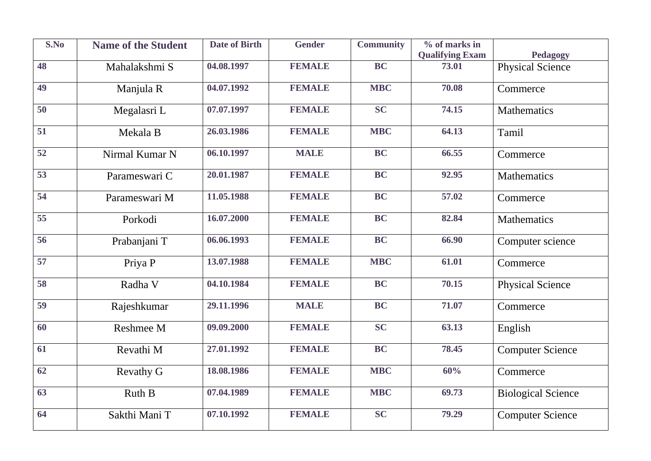| S.No            | <b>Name of the Student</b> | <b>Date of Birth</b> | <b>Gender</b> | <b>Community</b> | $\frac{6}{10}$ of marks in |                           |
|-----------------|----------------------------|----------------------|---------------|------------------|----------------------------|---------------------------|
|                 |                            |                      |               |                  | <b>Qualifying Exam</b>     | <b>Pedagogy</b>           |
| 48              | Mahalakshmi S              | 04.08.1997           | <b>FEMALE</b> | <b>BC</b>        | 73.01                      | <b>Physical Science</b>   |
| 49              | Manjula R                  | 04.07.1992           | <b>FEMALE</b> | <b>MBC</b>       | 70.08                      | Commerce                  |
| 50              | Megalasri L                | 07.07.1997           | <b>FEMALE</b> | <b>SC</b>        | 74.15                      | Mathematics               |
| $\overline{51}$ | Mekala B                   | 26.03.1986           | <b>FEMALE</b> | <b>MBC</b>       | 64.13                      | Tamil                     |
| 52              | Nirmal Kumar N             | 06.10.1997           | <b>MALE</b>   | <b>BC</b>        | 66.55                      | Commerce                  |
| 53              | Parameswari C              | 20.01.1987           | <b>FEMALE</b> | <b>BC</b>        | 92.95                      | <b>Mathematics</b>        |
| $\overline{54}$ | Parameswari M              | 11.05.1988           | <b>FEMALE</b> | <b>BC</b>        | 57.02                      | Commerce                  |
| 55              | Porkodi                    | 16.07.2000           | <b>FEMALE</b> | <b>BC</b>        | 82.84                      | <b>Mathematics</b>        |
| 56              | Prabanjani T               | 06.06.1993           | <b>FEMALE</b> | <b>BC</b>        | 66.90                      | Computer science          |
| 57              | Priya P                    | 13.07.1988           | <b>FEMALE</b> | <b>MBC</b>       | 61.01                      | Commerce                  |
| 58              | Radha V                    | 04.10.1984           | <b>FEMALE</b> | <b>BC</b>        | 70.15                      | <b>Physical Science</b>   |
| 59              | Rajeshkumar                | 29.11.1996           | <b>MALE</b>   | BC               | 71.07                      | Commerce                  |
| 60              | Reshmee M                  | 09.09.2000           | <b>FEMALE</b> | $\overline{SC}$  | 63.13                      | English                   |
| 61              | Revathi M                  | 27.01.1992           | <b>FEMALE</b> | <b>BC</b>        | 78.45                      | <b>Computer Science</b>   |
| $\overline{62}$ | Revathy G                  | 18.08.1986           | <b>FEMALE</b> | <b>MBC</b>       | 60%                        | Commerce                  |
| 63              | Ruth B                     | 07.04.1989           | <b>FEMALE</b> | <b>MBC</b>       | 69.73                      | <b>Biological Science</b> |
| 64              | Sakthi Mani T              | 07.10.1992           | <b>FEMALE</b> | <b>SC</b>        | 79.29                      | <b>Computer Science</b>   |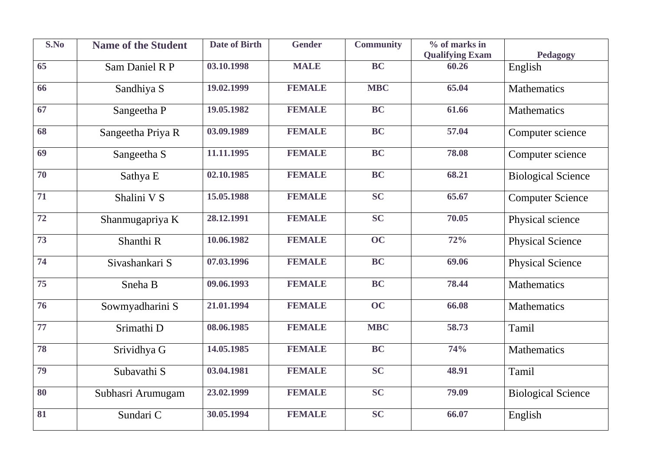| S.No            | <b>Name of the Student</b> | <b>Date of Birth</b> | <b>Gender</b> | <b>Community</b> | % of marks in                   |                           |
|-----------------|----------------------------|----------------------|---------------|------------------|---------------------------------|---------------------------|
| 65              |                            | 03.10.1998           | <b>MALE</b>   | <b>BC</b>        | <b>Qualifying Exam</b><br>60.26 | <b>Pedagogy</b>           |
|                 | Sam Daniel R P             |                      |               |                  |                                 | English                   |
| 66              | Sandhiya S                 | 19.02.1999           | <b>FEMALE</b> | <b>MBC</b>       | 65.04                           | <b>Mathematics</b>        |
| 67              | Sangeetha P                | 19.05.1982           | <b>FEMALE</b> | $\overline{BC}$  | 61.66                           | <b>Mathematics</b>        |
| 68              | Sangeetha Priya R          | 03.09.1989           | <b>FEMALE</b> | $\overline{BC}$  | 57.04                           | Computer science          |
| 69              | Sangeetha S                | 11.11.1995           | <b>FEMALE</b> | <b>BC</b>        | 78.08                           | Computer science          |
| $\overline{70}$ | Sathya E                   | 02.10.1985           | <b>FEMALE</b> | $\overline{BC}$  | 68.21                           | <b>Biological Science</b> |
| 71              | Shalini V S                | 15.05.1988           | <b>FEMALE</b> | SC               | 65.67                           | <b>Computer Science</b>   |
| 72              | Shanmugapriya K            | 28.12.1991           | <b>FEMALE</b> | <b>SC</b>        | 70.05                           | Physical science          |
| 73              | Shanthi R                  | 10.06.1982           | <b>FEMALE</b> | OC               | 72%                             | <b>Physical Science</b>   |
| $\overline{74}$ | Sivashankari S             | 07.03.1996           | <b>FEMALE</b> | $\overline{BC}$  | 69.06                           | <b>Physical Science</b>   |
| $\overline{75}$ | Sneha B                    | 09.06.1993           | <b>FEMALE</b> | <b>BC</b>        | 78.44                           | Mathematics               |
| $\overline{76}$ | Sowmyadharini S            | 21.01.1994           | <b>FEMALE</b> | $\overline{OC}$  | 66.08                           | <b>Mathematics</b>        |
| 77              | Srimathi D                 | 08.06.1985           | <b>FEMALE</b> | <b>MBC</b>       | 58.73                           | Tamil                     |
| 78              | Srividhya G                | 14.05.1985           | <b>FEMALE</b> | <b>BC</b>        | 74%                             | <b>Mathematics</b>        |
| 79              | Subavathi S                | 03.04.1981           | <b>FEMALE</b> | <b>SC</b>        | 48.91                           | Tamil                     |
| 80              | Subhasri Arumugam          | 23.02.1999           | <b>FEMALE</b> | <b>SC</b>        | 79.09                           | <b>Biological Science</b> |
| 81              | Sundari C                  | 30.05.1994           | <b>FEMALE</b> | <b>SC</b>        | 66.07                           | English                   |